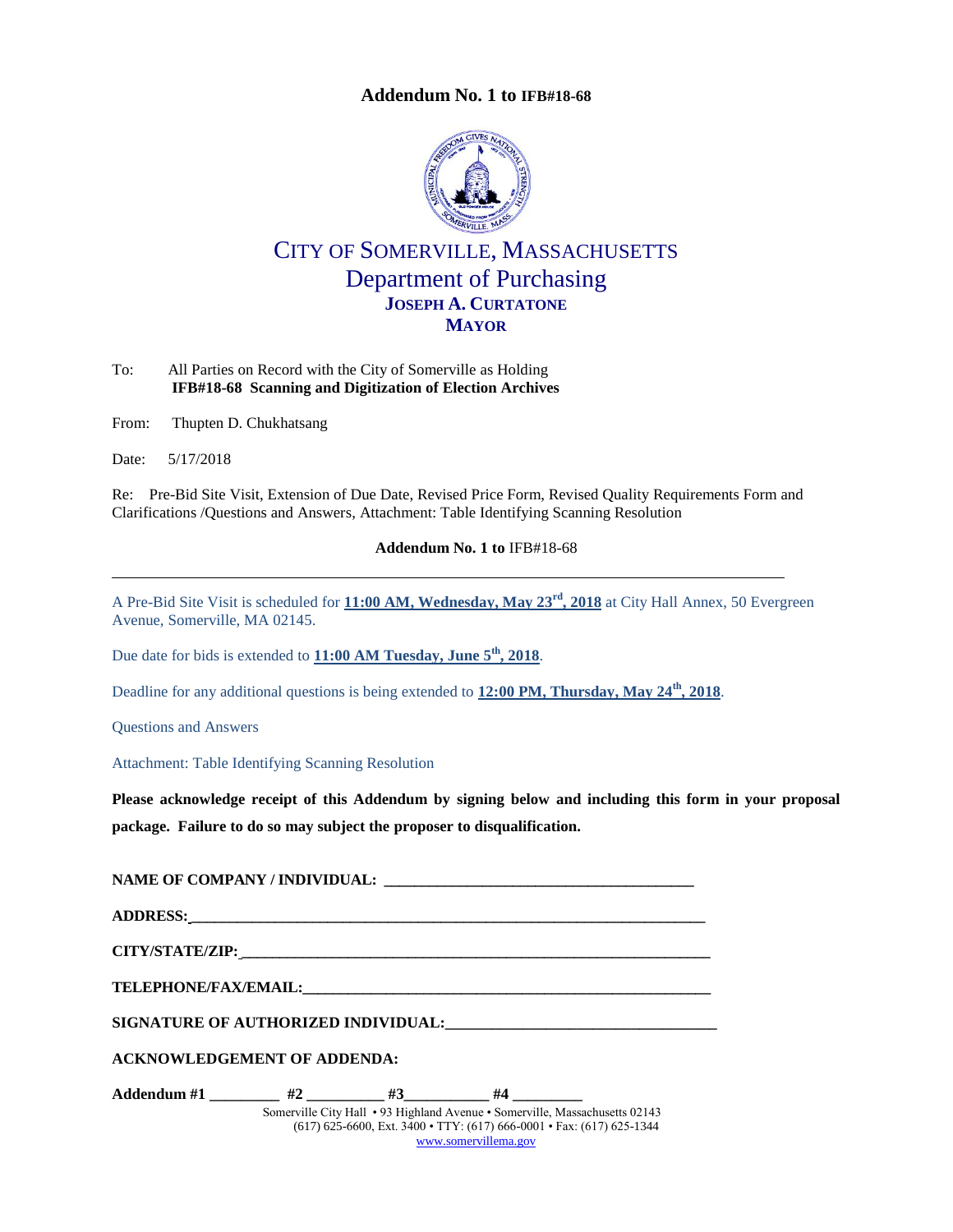

# CITY OF SOMERVILLE, MASSACHUSETTS Department of Purchasing **JOSEPH A. CURTATONE MAYOR**

<span id="page-0-0"></span>To: All Parties on Record with the City of Somerville as Holding **IFB#18-68 Scanning and Digitization of Election Archives**

From: Thupten D. Chukhatsang

Date: 5/17/2018

Re: Pre-Bid Site Visit, Extension of Due Date, Revised Price Form, Revised Quality Requirements Form and Clarifications /Questions and Answers, Attachment: Table Identifying Scanning Resolution

**Addendum No. 1 to** [IFB#18-68](#page-0-0)

A Pre-Bid Site Visit is scheduled for **11:00 AM, Wednesday, May 23rd, 2018** at City Hall Annex, 50 Evergreen Avenue, Somerville, MA 02145.

Due date for bids is extended to **11:00 AM Tuesday, June 5<sup>th</sup>, 2018**.

Deadline for any additional questions is being extended to **12:00 PM, Thursday, May 24th, 2018**.

Questions and Answers

Attachment: Table Identifying Scanning Resolution

**Please acknowledge receipt of this Addendum by signing below and including this form in your proposal package. Failure to do so may subject the proposer to disqualification.**

**NAME OF COMPANY / INDIVIDUAL: \_\_\_\_\_\_\_\_\_\_\_\_\_\_\_\_\_\_\_\_\_\_\_\_\_\_\_\_\_\_\_\_\_\_\_\_\_\_\_\_\_**

**ADDRESS: \_\_\_\_\_\_\_\_\_\_\_\_\_\_\_\_\_\_\_\_\_\_\_\_\_\_\_\_\_\_\_\_\_\_\_\_\_\_\_\_\_\_\_\_\_\_\_\_\_\_\_\_\_\_\_\_\_\_\_\_\_\_\_\_\_\_\_\_**

**CITY/STATE/ZIP: \_\_\_\_\_\_\_\_\_\_\_\_\_\_\_\_\_\_\_\_\_\_\_\_\_\_\_\_\_\_\_\_\_\_\_\_\_\_\_\_\_\_\_\_\_\_\_\_\_\_\_\_\_\_\_\_\_\_\_\_\_\_**

**TELEPHONE/FAX/EMAIL:\_\_\_\_\_\_\_\_\_\_\_\_\_\_\_\_\_\_\_\_\_\_\_\_\_\_\_\_\_\_\_\_\_\_\_\_\_\_\_\_\_\_\_\_\_\_\_\_\_\_\_\_\_\_**

**SIGNATURE OF AUTHORIZED INDIVIDUAL:\_\_\_\_\_\_\_\_\_\_\_\_\_\_\_\_\_\_\_\_\_\_\_\_\_\_\_\_\_\_\_\_\_\_\_**

**ACKNOWLEDGEMENT OF ADDENDA:**

Somerville City Hall • 93 Highland Avenue • Somerville, Massachusetts 02143 (617) 625-6600, Ext. 3400 • TTY: (617) 666-0001 • Fax: (617) 625-1344 [www.somervillema.gov](http://www.somervillema.gov/) **Addendum #1 \_\_\_\_\_\_\_\_\_ #2 \_\_\_\_\_\_\_\_\_\_ #3\_\_\_\_\_\_\_\_\_\_\_ #4 \_\_\_\_\_\_\_\_\_**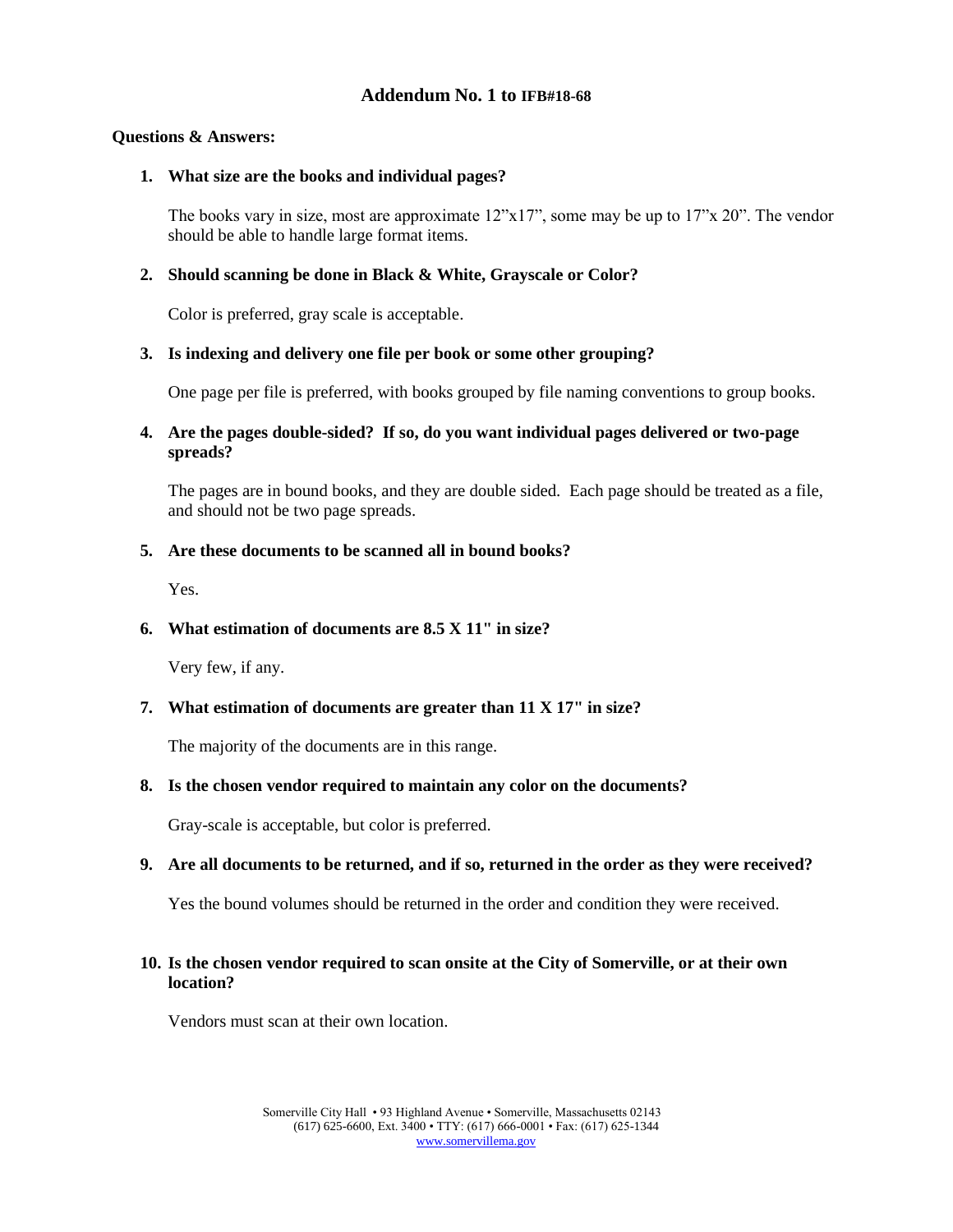#### **Questions & Answers:**

#### **1. What size are the books and individual pages?**

The books vary in size, most are approximate  $12"x17"$ , some may be up to  $17"x 20"$ . The vendor should be able to handle large format items.

### **2. Should scanning be done in Black & White, Grayscale or Color?**

Color is preferred, gray scale is acceptable.

#### **3. Is indexing and delivery one file per book or some other grouping?**

One page per file is preferred, with books grouped by file naming conventions to group books.

### **4. Are the pages double-sided? If so, do you want individual pages delivered or two-page spreads?**

The pages are in bound books, and they are double sided. Each page should be treated as a file, and should not be two page spreads.

#### **5. Are these documents to be scanned all in bound books?**

Yes.

### **6. What estimation of documents are 8.5 X 11" in size?**

Very few, if any.

### **7. What estimation of documents are greater than 11 X 17" in size?**

The majority of the documents are in this range.

#### **8. Is the chosen vendor required to maintain any color on the documents?**

Gray-scale is acceptable, but color is preferred.

### **9. Are all documents to be returned, and if so, returned in the order as they were received?**

Yes the bound volumes should be returned in the order and condition they were received.

### **10. Is the chosen vendor required to scan onsite at the City of Somerville, or at their own location?**

Vendors must scan at their own location.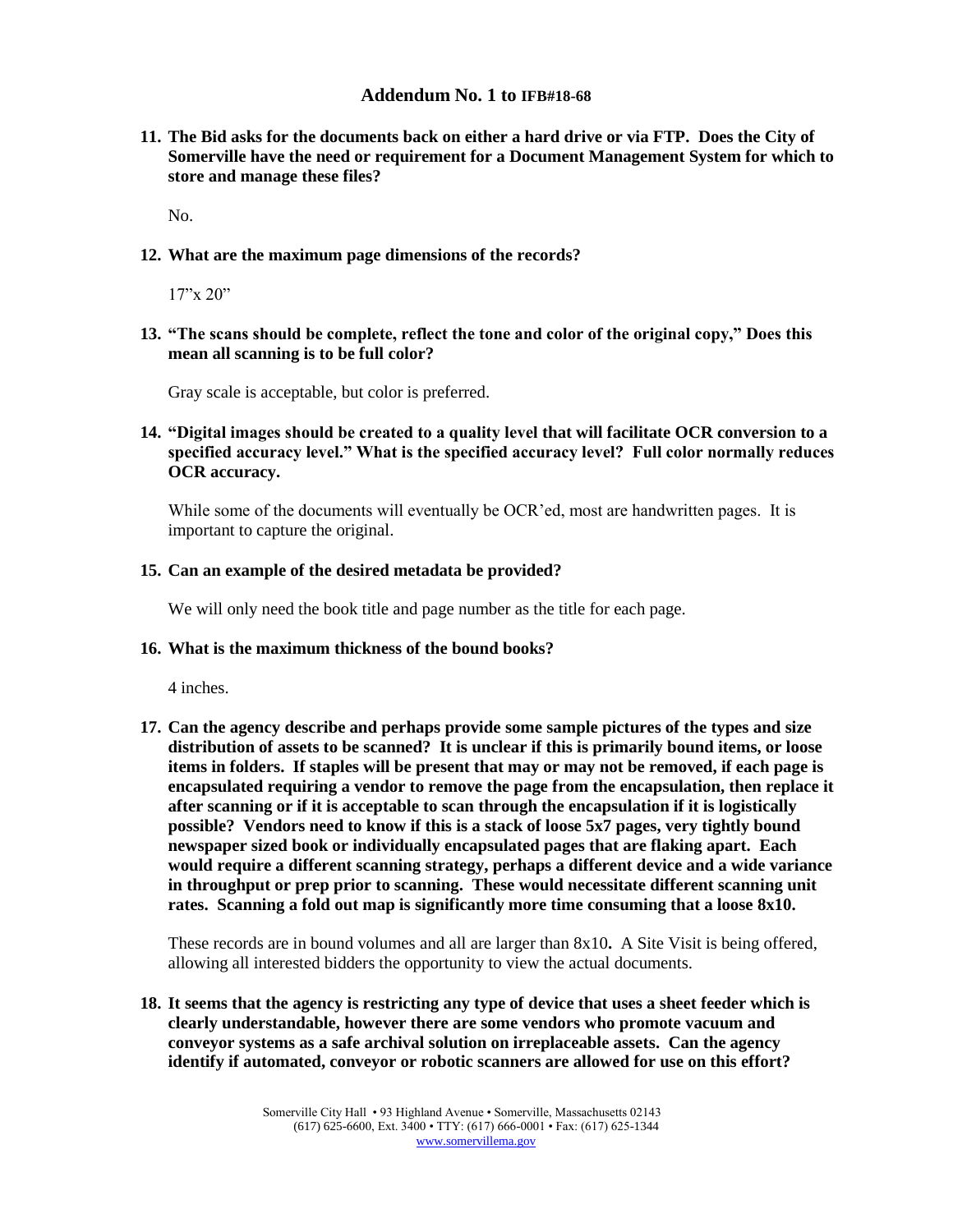**11. The Bid asks for the documents back on either a hard drive or via FTP. Does the City of Somerville have the need or requirement for a Document Management System for which to store and manage these files?**

No.

**12. What are the maximum page dimensions of the records?**

17"x 20"

**13. "The scans should be complete, reflect the tone and color of the original copy," Does this mean all scanning is to be full color?**

Gray scale is acceptable, but color is preferred.

**14. "Digital images should be created to a quality level that will facilitate OCR conversion to a specified accuracy level." What is the specified accuracy level? Full color normally reduces OCR accuracy.**

While some of the documents will eventually be OCR'ed, most are handwritten pages. It is important to capture the original.

#### **15. Can an example of the desired metadata be provided?**

We will only need the book title and page number as the title for each page.

#### **16. What is the maximum thickness of the bound books?**

4 inches.

**17. Can the agency describe and perhaps provide some sample pictures of the types and size distribution of assets to be scanned? It is unclear if this is primarily bound items, or loose items in folders. If staples will be present that may or may not be removed, if each page is encapsulated requiring a vendor to remove the page from the encapsulation, then replace it after scanning or if it is acceptable to scan through the encapsulation if it is logistically possible? Vendors need to know if this is a stack of loose 5x7 pages, very tightly bound newspaper sized book or individually encapsulated pages that are flaking apart. Each would require a different scanning strategy, perhaps a different device and a wide variance in throughput or prep prior to scanning. These would necessitate different scanning unit rates. Scanning a fold out map is significantly more time consuming that a loose 8x10.**

These records are in bound volumes and all are larger than 8x10**.** A Site Visit is being offered, allowing all interested bidders the opportunity to view the actual documents.

**18. It seems that the agency is restricting any type of device that uses a sheet feeder which is clearly understandable, however there are some vendors who promote vacuum and conveyor systems as a safe archival solution on irreplaceable assets. Can the agency identify if automated, conveyor or robotic scanners are allowed for use on this effort?**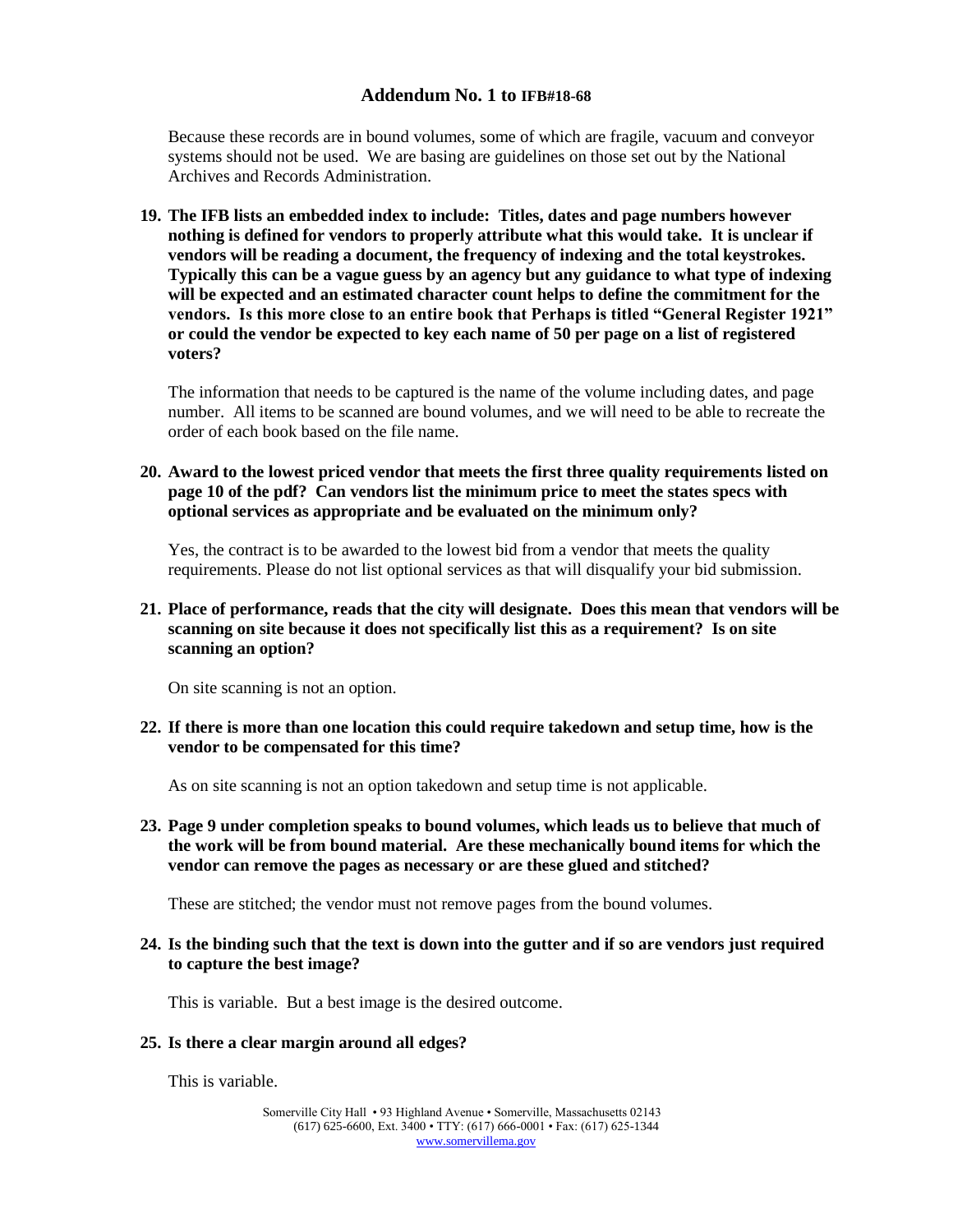Because these records are in bound volumes, some of which are fragile, vacuum and conveyor systems should not be used. We are basing are guidelines on those set out by the National Archives and Records Administration.

**19. The IFB lists an embedded index to include: Titles, dates and page numbers however nothing is defined for vendors to properly attribute what this would take. It is unclear if vendors will be reading a document, the frequency of indexing and the total keystrokes. Typically this can be a vague guess by an agency but any guidance to what type of indexing will be expected and an estimated character count helps to define the commitment for the vendors. Is this more close to an entire book that Perhaps is titled "General Register 1921" or could the vendor be expected to key each name of 50 per page on a list of registered voters?**

The information that needs to be captured is the name of the volume including dates, and page number. All items to be scanned are bound volumes, and we will need to be able to recreate the order of each book based on the file name.

**20. Award to the lowest priced vendor that meets the first three quality requirements listed on page 10 of the pdf? Can vendors list the minimum price to meet the states specs with optional services as appropriate and be evaluated on the minimum only?**

Yes, the contract is to be awarded to the lowest bid from a vendor that meets the quality requirements. Please do not list optional services as that will disqualify your bid submission.

**21. Place of performance, reads that the city will designate. Does this mean that vendors will be scanning on site because it does not specifically list this as a requirement? Is on site scanning an option?** 

On site scanning is not an option.

**22. If there is more than one location this could require takedown and setup time, how is the vendor to be compensated for this time?**

As on site scanning is not an option takedown and setup time is not applicable.

**23. Page 9 under completion speaks to bound volumes, which leads us to believe that much of the work will be from bound material. Are these mechanically bound items for which the vendor can remove the pages as necessary or are these glued and stitched?** 

These are stitched; the vendor must not remove pages from the bound volumes.

**24. Is the binding such that the text is down into the gutter and if so are vendors just required to capture the best image?**

This is variable. But a best image is the desired outcome.

#### **25. Is there a clear margin around all edges?**

This is variable.

Somerville City Hall • 93 Highland Avenue • Somerville, Massachusetts 02143 (617) 625-6600, Ext. 3400 • TTY: (617) 666-0001 • Fax: (617) 625-1344 [www.somervillema.gov](http://www.somervillema.gov/)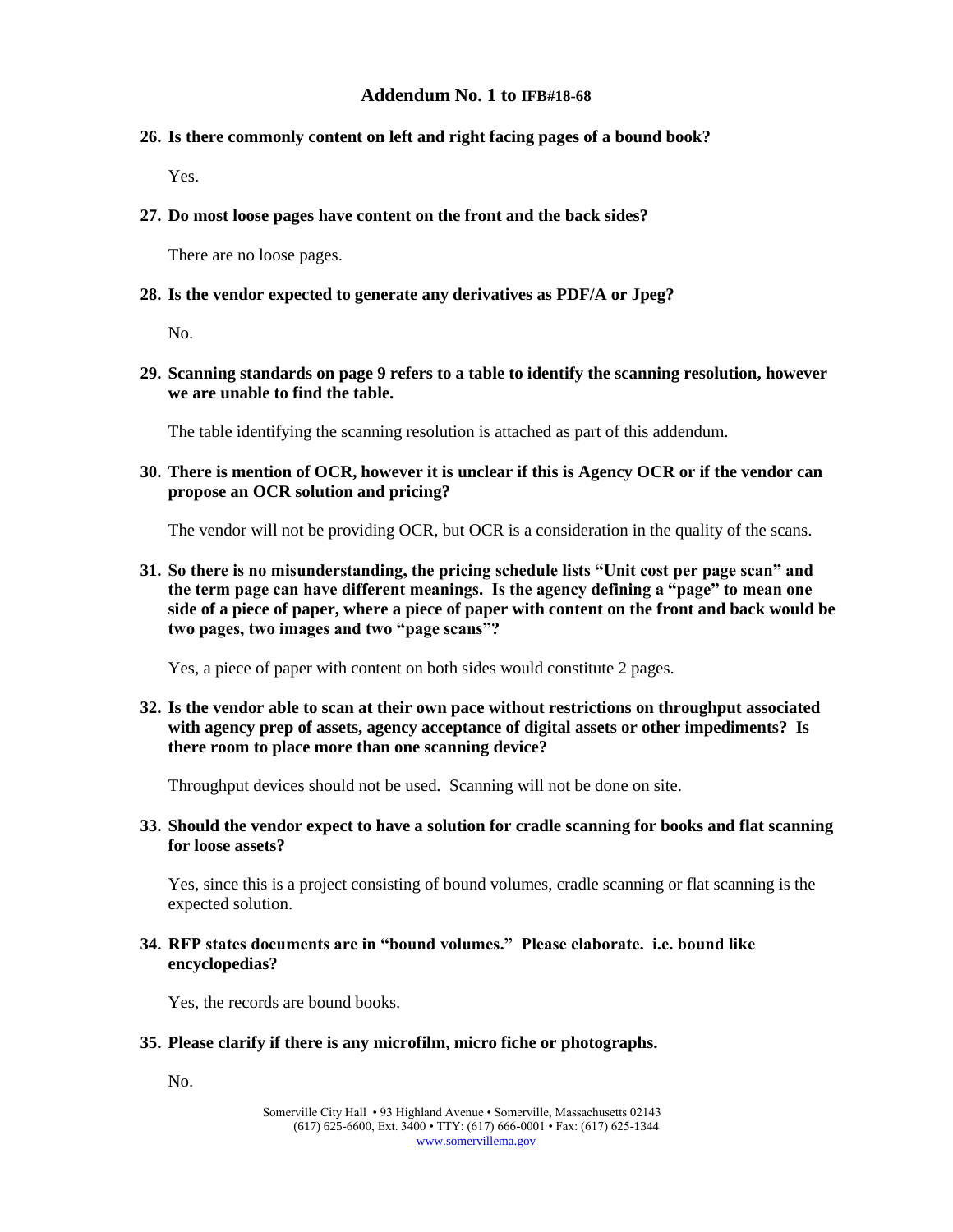### **26. Is there commonly content on left and right facing pages of a bound book?**

Yes.

**27. Do most loose pages have content on the front and the back sides?**

There are no loose pages.

#### **28. Is the vendor expected to generate any derivatives as PDF/A or Jpeg?**

No.

**29. Scanning standards on page 9 refers to a table to identify the scanning resolution, however we are unable to find the table.**

The table identifying the scanning resolution is attached as part of this addendum.

**30. There is mention of OCR, however it is unclear if this is Agency OCR or if the vendor can propose an OCR solution and pricing?**

The vendor will not be providing OCR, but OCR is a consideration in the quality of the scans.

**31. So there is no misunderstanding, the pricing schedule lists "Unit cost per page scan" and the term page can have different meanings. Is the agency defining a "page" to mean one side of a piece of paper, where a piece of paper with content on the front and back would be two pages, two images and two "page scans"?**

Yes, a piece of paper with content on both sides would constitute 2 pages.

**32. Is the vendor able to scan at their own pace without restrictions on throughput associated with agency prep of assets, agency acceptance of digital assets or other impediments? Is there room to place more than one scanning device?**

Throughput devices should not be used. Scanning will not be done on site.

**33. Should the vendor expect to have a solution for cradle scanning for books and flat scanning for loose assets?**

Yes, since this is a project consisting of bound volumes, cradle scanning or flat scanning is the expected solution.

**34. RFP states documents are in "bound volumes." Please elaborate. i.e. bound like encyclopedias?**

Yes, the records are bound books.

#### **35. Please clarify if there is any microfilm, micro fiche or photographs.**

No.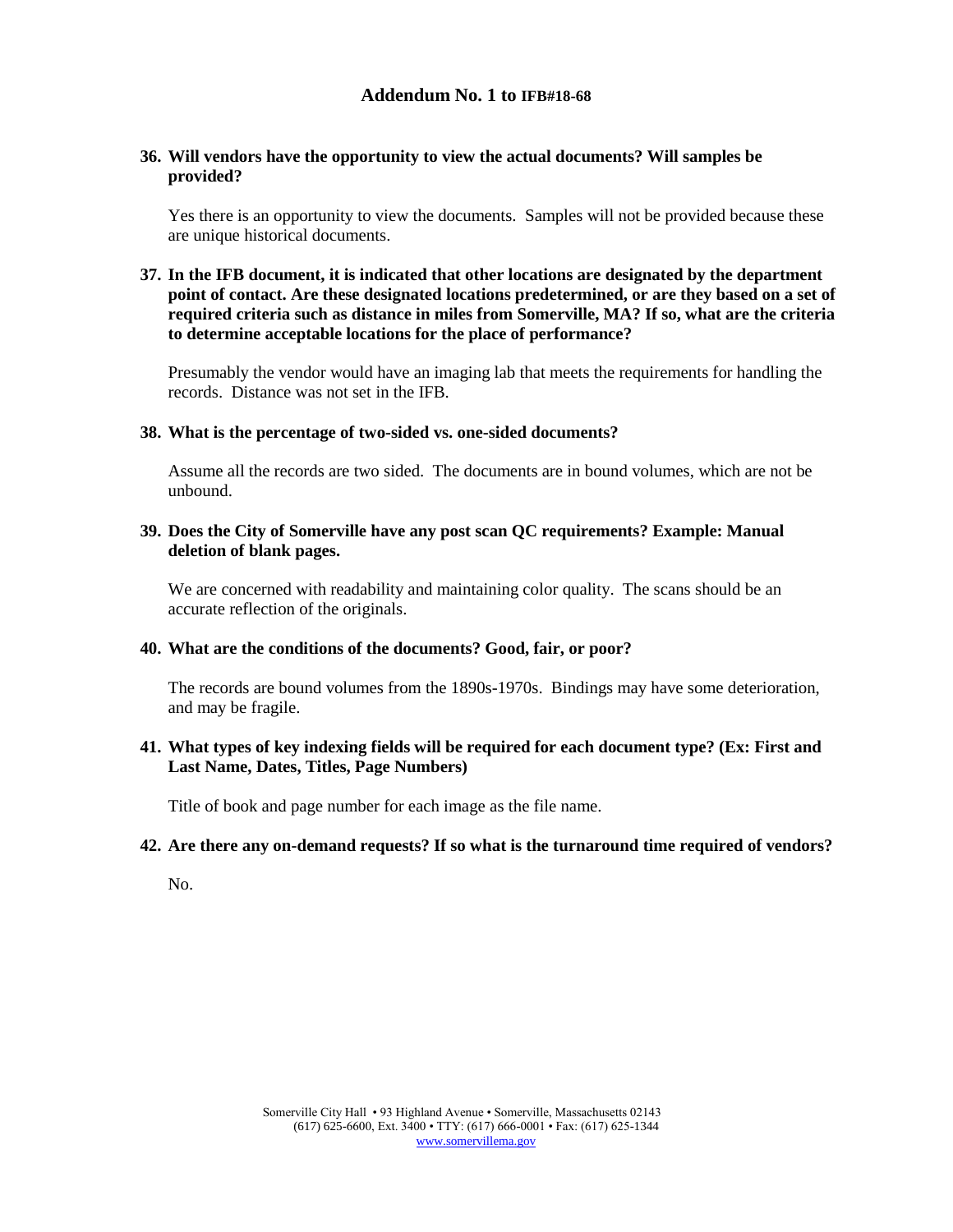### **36. Will vendors have the opportunity to view the actual documents? Will samples be provided?**

Yes there is an opportunity to view the documents. Samples will not be provided because these are unique historical documents.

### **37. In the IFB document, it is indicated that other locations are designated by the department point of contact. Are these designated locations predetermined, or are they based on a set of required criteria such as distance in miles from Somerville, MA? If so, what are the criteria to determine acceptable locations for the place of performance?**

Presumably the vendor would have an imaging lab that meets the requirements for handling the records. Distance was not set in the IFB.

#### **38. What is the percentage of two-sided vs. one-sided documents?**

Assume all the records are two sided. The documents are in bound volumes, which are not be unbound.

### **39. Does the City of Somerville have any post scan QC requirements? Example: Manual deletion of blank pages.**

We are concerned with readability and maintaining color quality. The scans should be an accurate reflection of the originals.

#### **40. What are the conditions of the documents? Good, fair, or poor?**

The records are bound volumes from the 1890s-1970s. Bindings may have some deterioration, and may be fragile.

### **41. What types of key indexing fields will be required for each document type? (Ex: First and Last Name, Dates, Titles, Page Numbers)**

Title of book and page number for each image as the file name.

#### **42. Are there any on-demand requests? If so what is the turnaround time required of vendors?**

No.